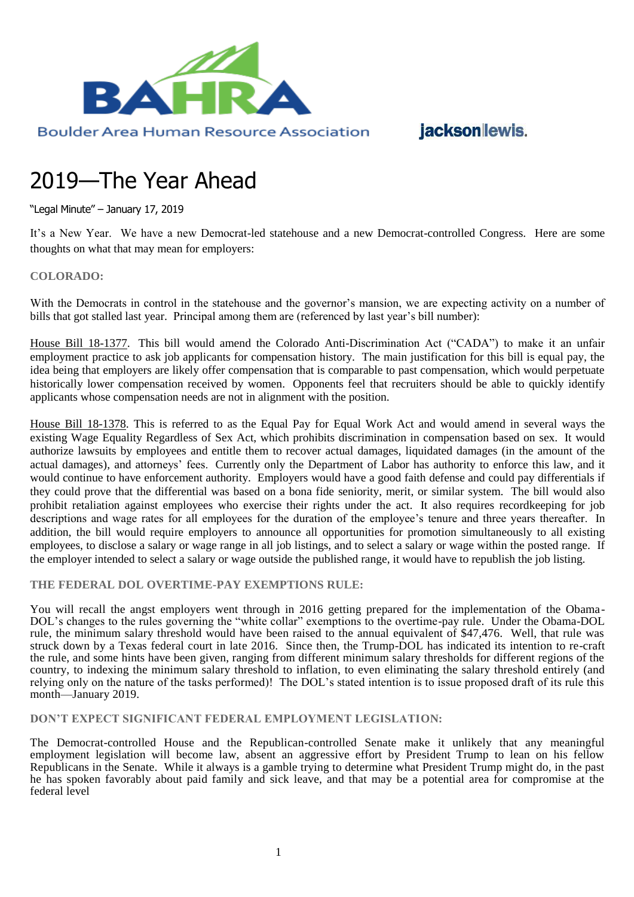

# jacksonlewis.

# 2019—The Year Ahead

"Legal Minute" – January 17, 2019

It's a New Year. We have a new Democrat-led statehouse and a new Democrat-controlled Congress. Here are some thoughts on what that may mean for employers:

### **COLORADO:**

With the Democrats in control in the statehouse and the governor's mansion, we are expecting activity on a number of bills that got stalled last year. Principal among them are (referenced by last year's bill number):

House Bill 18-1377. This bill would amend the Colorado Anti-Discrimination Act ("CADA") to make it an unfair employment practice to ask job applicants for compensation history. The main justification for this bill is equal pay, the idea being that employers are likely offer compensation that is comparable to past compensation, which would perpetuate historically lower compensation received by women. Opponents feel that recruiters should be able to quickly identify applicants whose compensation needs are not in alignment with the position.

House Bill 18-1378. This is referred to as the Equal Pay for Equal Work Act and would amend in several ways the existing Wage Equality Regardless of Sex Act, which prohibits discrimination in compensation based on sex. It would authorize lawsuits by employees and entitle them to recover actual damages, liquidated damages (in the amount of the actual damages), and attorneys' fees. Currently only the Department of Labor has authority to enforce this law, and it would continue to have enforcement authority. Employers would have a good faith defense and could pay differentials if they could prove that the differential was based on a bona fide seniority, merit, or similar system. The bill would also prohibit retaliation against employees who exercise their rights under the act. It also requires recordkeeping for job descriptions and wage rates for all employees for the duration of the employee's tenure and three years thereafter. In addition, the bill would require employers to announce all opportunities for promotion simultaneously to all existing employees, to disclose a salary or wage range in all job listings, and to select a salary or wage within the posted range. If the employer intended to select a salary or wage outside the published range, it would have to republish the job listing.

#### **THE FEDERAL DOL OVERTIME-PAY EXEMPTIONS RULE:**

You will recall the angst employers went through in 2016 getting prepared for the implementation of the Obama-DOL's changes to the rules governing the "white collar" exemptions to the overtime-pay rule. Under the Obama-DOL rule, the minimum salary threshold would have been raised to the annual equivalent of \$47,476. Well, that rule was struck down by a Texas federal court in late 2016. Since then, the Trump-DOL has indicated its intention to re-craft the rule, and some hints have been given, ranging from different minimum salary thresholds for different regions of the country, to indexing the minimum salary threshold to inflation, to even eliminating the salary threshold entirely (and relying only on the nature of the tasks performed)! The DOL's stated intention is to issue proposed draft of its rule this month—January 2019.

**DON'T EXPECT SIGNIFICANT FEDERAL EMPLOYMENT LEGISLATION:**

The Democrat-controlled House and the Republican-controlled Senate make it unlikely that any meaningful employment legislation will become law, absent an aggressive effort by President Trump to lean on his fellow Republicans in the Senate. While it always is a gamble trying to determine what President Trump might do, in the past he has spoken favorably about paid family and sick leave, and that may be a potential area for compromise at the federal level